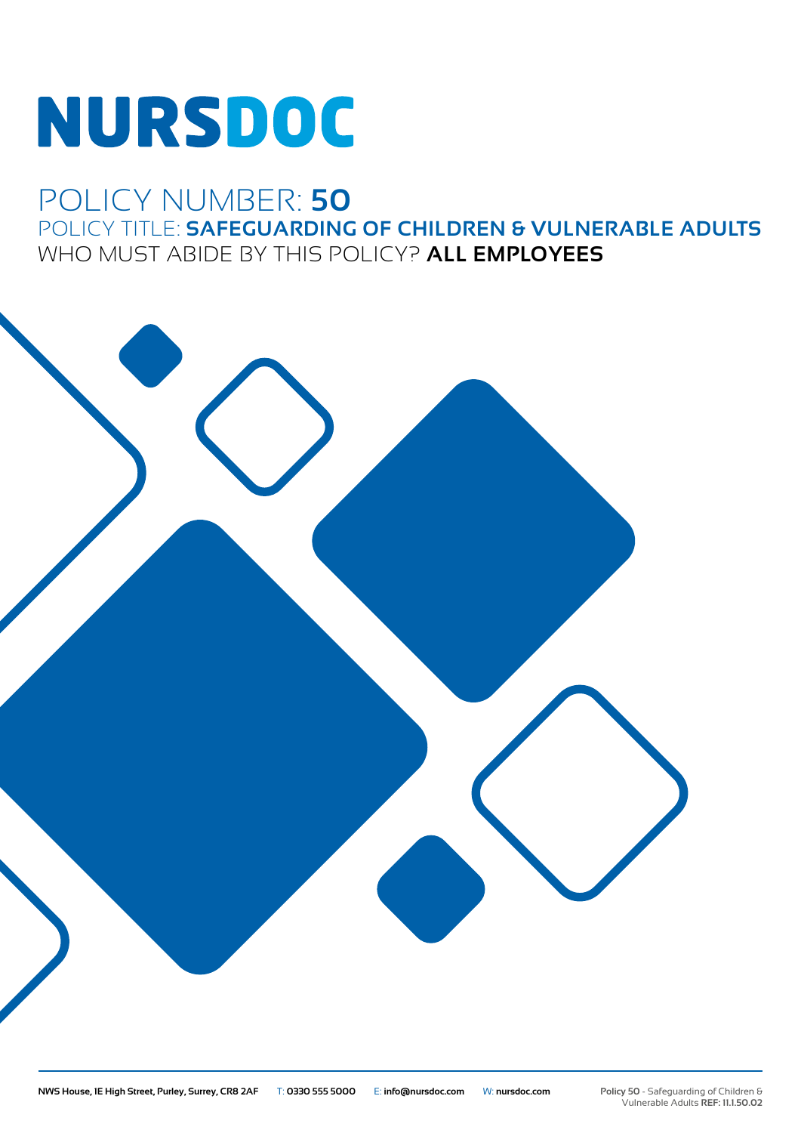# **NURSDOC**

## POLICY NUMBER: **50** POLICY TITLE: **SAFEGUARDING OF CHILDREN & VULNERABLE ADULTS** WHO MUST ABIDE BY THIS POLICY? **ALL EMPLOYEES**